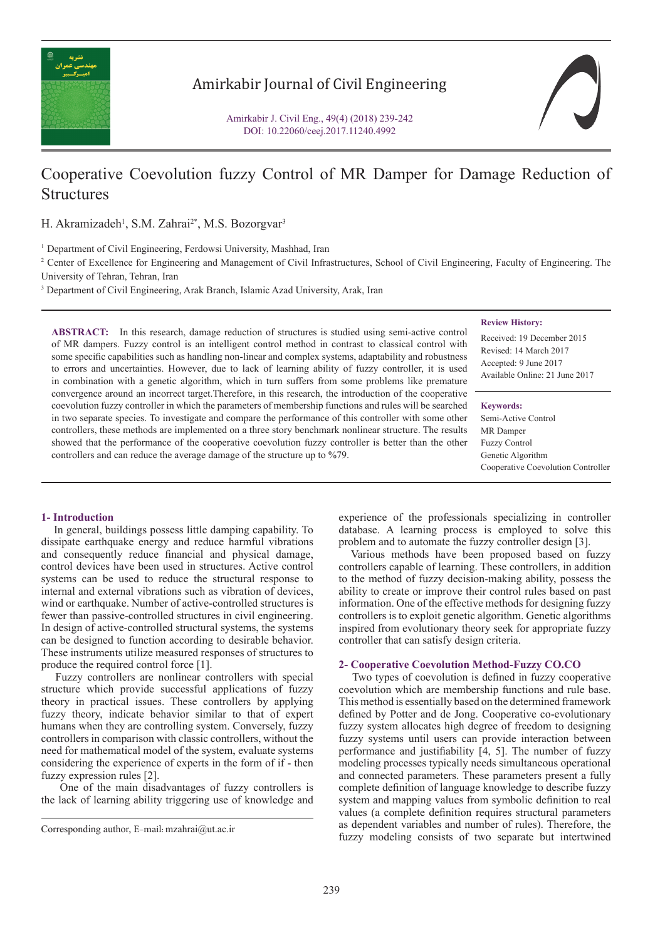

## Amirkabir Journal of Civil Engineering

Amirkabir J. Civil Eng., 49(4) (2018) 239-242 DOI: 10.22060/ceej.2017.11240.4992

# Cooperative Coevolution fuzzy Control of MR Damper for Damage Reduction of **Structures**

H. Akramizadeh<sup>1</sup>, S.M. Zahrai<sup>2\*</sup>, M.S. Bozorgvar<sup>3</sup>

<sup>1</sup> Department of Civil Engineering, Ferdowsi University, Mashhad, Iran

<sup>2</sup> Center of Excellence for Engineering and Management of Civil Infrastructures, School of Civil Engineering, Faculty of Engineering. The University of Tehran, Tehran, Iran

<sup>3</sup> Department of Civil Engineering, Arak Branch, Islamic Azad University, Arak, Iran

**ABSTRACT:** In this research, damage reduction of structures is studied using semi-active control of MR dampers. Fuzzy control is an intelligent control method in contrast to classical control with some specific capabilities such as handling non-linear and complex systems, adaptability and robustness to errors and uncertainties. However, due to lack of learning ability of fuzzy controller, it is used in combination with a genetic algorithm, which in turn suffers from some problems like premature convergence around an incorrect target.Therefore, in this research, the introduction of the cooperative coevolution fuzzy controller in which the parameters of membership functions and rules will be searched in two separate species. To investigate and compare the performance of this controller with some other controllers, these methods are implemented on a three story benchmark nonlinear structure. The results showed that the performance of the cooperative coevolution fuzzy controller is better than the other controllers and can reduce the average damage of the structure up to %79.

#### **Review History:**

Received: 19 December 2015 Revised: 14 March 2017 Accepted: 9 June 2017 Available Online: 21 June 2017

#### **Keywords:**

Semi-Active Control MR Damper Fuzzy Control Genetic Algorithm Cooperative Coevolution Controller

## **1- Introduction**

 In general, buildings possess little damping capability. To dissipate earthquake energy and reduce harmful vibrations and consequently reduce financial and physical damage, control devices have been used in structures. Active control systems can be used to reduce the structural response to internal and external vibrations such as vibration of devices, wind or earthquake. Number of active-controlled structures is fewer than passive-controlled structures in civil engineering. In design of active-controlled structural systems, the systems can be designed to function according to desirable behavior. These instruments utilize measured responses of structures to produce the required control force [1].

 Fuzzy controllers are nonlinear controllers with special structure which provide successful applications of fuzzy theory in practical issues. These controllers by applying fuzzy theory, indicate behavior similar to that of expert humans when they are controlling system. Conversely, fuzzy controllers in comparison with classic controllers, without the need for mathematical model of the system, evaluate systems considering the experience of experts in the form of if - then fuzzy expression rules [2].

 One of the main disadvantages of fuzzy controllers is the lack of learning ability triggering use of knowledge and

experience of the professionals specializing in controller database. A learning process is employed to solve this problem and to automate the fuzzy controller design [3].

 Various methods have been proposed based on fuzzy controllers capable of learning. These controllers, in addition to the method of fuzzy decision-making ability, possess the ability to create or improve their control rules based on past information. One of the effective methods for designing fuzzy controllers is to exploit genetic algorithm. Genetic algorithms inspired from evolutionary theory seek for appropriate fuzzy controller that can satisfy design criteria.

## **2- Cooperative Coevolution Method-Fuzzy CO.CO**

 Two types of coevolution is defined in fuzzy cooperative coevolution which are membership functions and rule base. This method is essentially based on the determined framework defined by Potter and de Jong. Cooperative co-evolutionary fuzzy system allocates high degree of freedom to designing fuzzy systems until users can provide interaction between performance and justifiability [4, 5]. The number of fuzzy modeling processes typically needs simultaneous operational and connected parameters. These parameters present a fully complete definition of language knowledge to describe fuzzy system and mapping values from symbolic definition to real values (a complete definition requires structural parameters as dependent variables and number of rules). Therefore, the Fuzzy modeling consists of two separate but intertwined Corresponding author, E-mail: mzahrai@ut.ac.ir<br>
fuzzy modeling consists of two separate but intertwined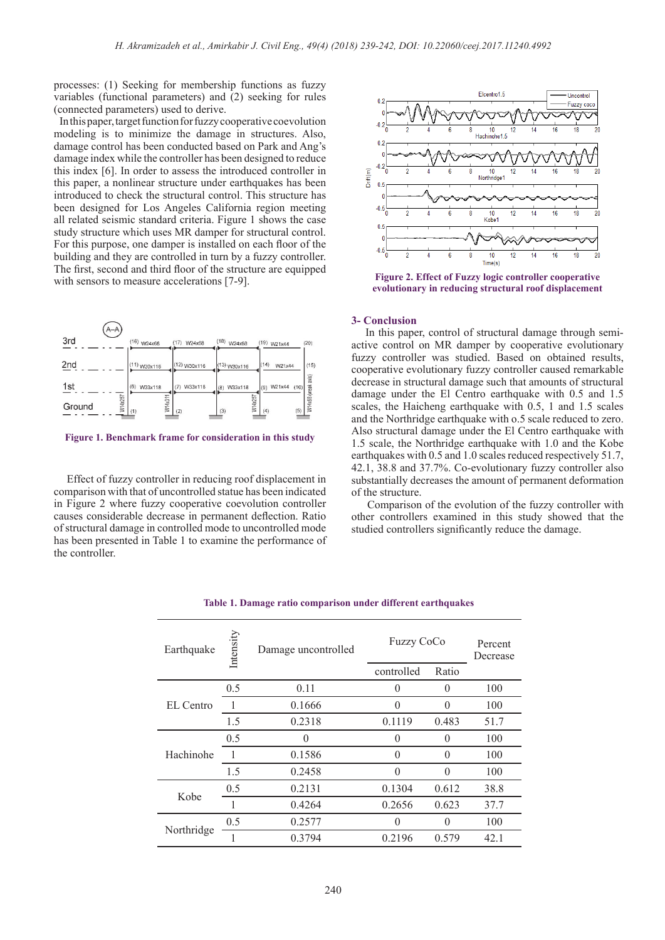processes: (1) Seeking for membership functions as fuzzy variables (functional parameters) and (2) seeking for rules (connected parameters) used to derive.

 In this paper, target function for fuzzy cooperative coevolution modeling is to minimize the damage in structures. Also, damage control has been conducted based on Park and Ang's damage index while the controller has been designed to reduce this index [6]. In order to assess the introduced controller in this paper, a nonlinear structure under earthquakes has been introduced to check the structural control. This structure has been designed for Los Angeles California region meeting all related seismic standard criteria. Figure 1 shows the case study structure which uses MR damper for structural control. For this purpose, one damper is installed on each floor of the building and they are controlled in turn by a fuzzy controller. The first, second and third floor of the structure are equipped with sensors to measure accelerations [7-9].



**Figure 1. Benchmark frame for consideration in this study**

 Effect of fuzzy controller in reducing roof displacement in comparison with that of uncontrolled statue has been indicated in Figure 2 where fuzzy cooperative coevolution controller causes considerable decrease in permanent deflection. Ratio of structural damage in controlled mode to uncontrolled mode has been presented in Table 1 to examine the performance of the controller.



**Figure 2. Effect of Fuzzy logic controller cooperative evolutionary in reducing structural roof displacement**

### **3- Conclusion**

 In this paper, control of structural damage through semiactive control on MR damper by cooperative evolutionary fuzzy controller was studied. Based on obtained results, cooperative evolutionary fuzzy controller caused remarkable decrease in structural damage such that amounts of structural damage under the El Centro earthquake with 0.5 and 1.5 scales, the Haicheng earthquake with 0.5, 1 and 1.5 scales and the Northridge earthquake with o.5 scale reduced to zero. Also structural damage under the El Centro earthquake with 1.5 scale, the Northridge earthquake with 1.0 and the Kobe earthquakes with 0.5 and 1.0 scales reduced respectively 51.7, 42.1, 38.8 and 37.7%. Co-evolutionary fuzzy controller also substantially decreases the amount of permanent deformation of the structure.

 Comparison of the evolution of the fuzzy controller with other controllers examined in this study showed that the studied controllers significantly reduce the damage.

| Earthquake | Intensity | Damage uncontrolled | <b>Fuzzy CoCo</b> |          | Percent<br>Decrease |
|------------|-----------|---------------------|-------------------|----------|---------------------|
|            |           |                     | controlled        | Ratio    |                     |
| EL Centro  | 0.5       | 0.11                | $\Omega$          | $\theta$ | 100                 |
|            |           | 0.1666              | $\Omega$          | $\Omega$ | 100                 |
|            | 1.5       | 0.2318              | 0.1119            | 0.483    | 51.7                |
| Hachinohe  | 0.5       | $\theta$            | $\Omega$          | $\theta$ | 100                 |
|            |           | 0.1586              | $\Omega$          | $\Omega$ | 100                 |
|            | 1.5       | 0.2458              | $\Omega$          | $\theta$ | 100                 |
| Kobe       | 0.5       | 0.2131              | 0.1304            | 0.612    | 38.8                |
|            |           | 0.4264              | 0.2656            | 0.623    | 37.7                |
| Northridge | 0.5       | 0.2577              | 0                 | $\theta$ | 100                 |
|            |           | 0.3794              | 0.2196            | 0.579    | 42.1                |

#### **Table 1. Damage ratio comparison under different earthquakes**